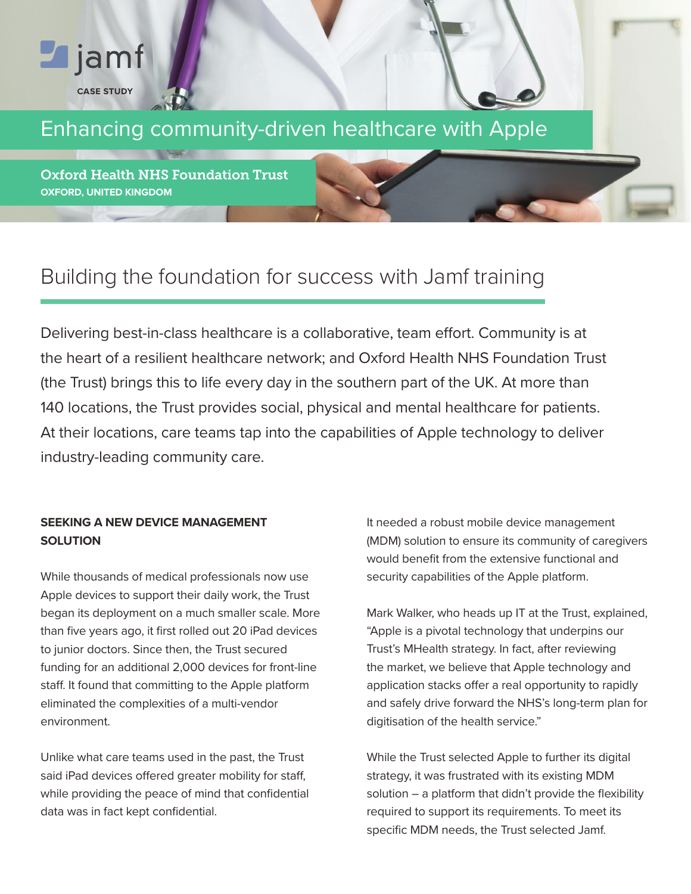# $\blacksquare$  jamf **CASE STUDY**

## Enhancing community-driven healthcare with Apple

Oxford Health NHS Foundation Trust **OXFORD, UNITED KINGDOM** 

### Building the foundation for success with Jamf training

Delivering best-in-class healthcare is a collaborative, team effort. Community is at the heart of a resilient healthcare network; and Oxford Health NHS Foundation Trust (the Trust) brings this to life every day in the southern part of the UK. At more than 140 locations, the Trust provides social, physical and mental healthcare for patients. At their locations, care teams tap into the capabilities of Apple technology to deliver industry-leading community care.

#### **SEEKING A NEW DEVICE MANAGEMENT SOLUTION**

While thousands of medical professionals now use Apple devices to support their daily work, the Trust began its deployment on a much smaller scale. More than five years ago, it first rolled out 20 iPad devices to junior doctors. Since then, the Trust secured funding for an additional 2,000 devices for front-line staff. It found that committing to the Apple platform eliminated the complexities of a multi-vendor environment.

Unlike what care teams used in the past, the Trust said iPad devices offered greater mobility for staff, while providing the peace of mind that confidential data was in fact kept confidential.

It needed a robust mobile device management (MDM) solution to ensure its community of caregivers would benefit from the extensive functional and security capabilities of the Apple platform.

Mark Walker, who heads up IT at the Trust, explained, "Apple is a pivotal technology that underpins our Trust's MHealth strategy. In fact, after reviewing the market, we believe that Apple technology and application stacks offer a real opportunity to rapidly and safely drive forward the NHS's long-term plan for digitisation of the health service."

While the Trust selected Apple to further its digital strategy, it was frustrated with its existing MDM solution – a platform that didn't provide the flexibility required to support its requirements. To meet its specific MDM needs, the Trust selected Jamf.